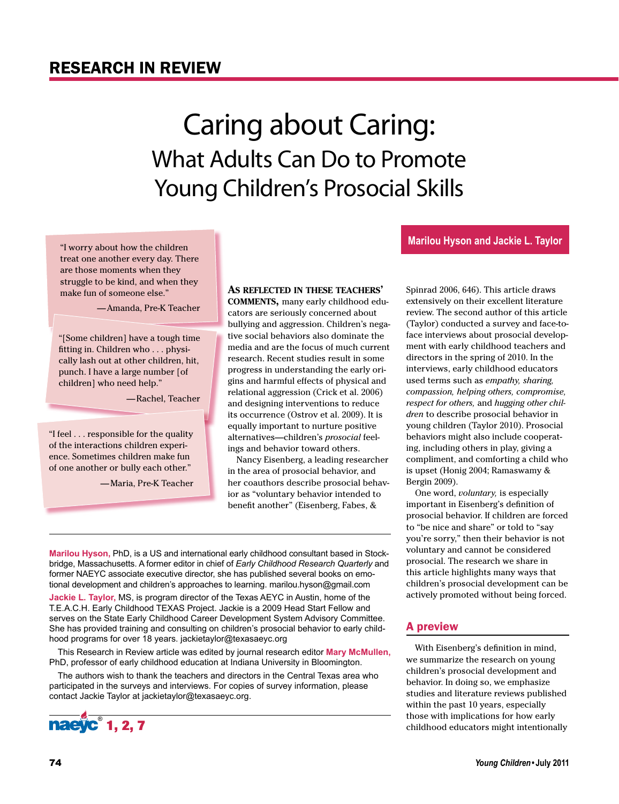## RESEARCH IN REVIEW

## Caring about Caring: What Adults Can Do to Promote Young Children's Prosocial Skills

"I worry about how the children treat one another every day. There are those moments when they struggle to be kind, and when they make fun of someone else."

—Amanda, Pre-K Teacher

"[Some children] have a tough time fitting in. Children who . . . physically lash out at other children, hit, punch. I have a large number [of children] who need help."

—Rachel, Teacher

"I feel . . . responsible for the quality of the interactions children experience. Sometimes children make fun of one another or bully each other."

—Maria, Pre-K Teacher

#### **As reflected in these teachers'**

**comments,** many early childhood educators are seriously concerned about bullying and aggression. Children's negative social behaviors also dominate the media and are the focus of much current research. Recent studies result in some progress in understanding the early origins and harmful effects of physical and relational aggression (Crick et al. 2006) and designing interventions to reduce its occurrence (Ostrov et al. 2009). It is equally important to nurture positive alternatives—children's *prosocial* feelings and behavior toward others.

Nancy Eisenberg, a leading researcher in the area of prosocial behavior, and her coauthors describe prosocial behavior as "voluntary behavior intended to benefit another" (Eisenberg, Fabes, &

**Marilou Hyson,** PhD, is a US and international early childhood consultant based in Stockbridge, Massachusetts. A former editor in chief of *Early Childhood Research Quarterly* and former NAEYC associate executive director, she has published several books on emotional development and children's approaches to learning. marilou.hyson@gmail.com

**Jackie L. Taylor,** MS, is program director of the Texas AEYC in Austin, home of the T.E.A.C.H. Early Childhood TEXAS Project. Jackie is a 2009 Head Start Fellow and serves on the State Early Childhood Career Development System Advisory Committee. She has provided training and consulting on children's prosocial behavior to early childhood programs for over 18 years. jackietaylor@texasaeyc.org

This Research in Review article was edited by journal research editor **Mary McMullen,** PhD, professor of early childhood education at Indiana University in Bloomington.

The authors wish to thank the teachers and directors in the Central Texas area who participated in the surveys and interviews. For copies of survey information, please contact Jackie Taylor at jackietaylor@texasaeyc.org.



extensively on their excellent literature review. The second author of this article (Taylor) conducted a survey and face-toface interviews about prosocial development with early childhood teachers and directors in the spring of 2010. In the interviews, early childhood educators used terms such as *empathy, sharing, compassion, helping others, compromise, respect for others,* and *hugging other children* to describe prosocial behavior in young children (Taylor 2010). Prosocial behaviors might also include cooperating, including others in play, giving a compliment, and comforting a child who is upset (Honig 2004; Ramaswamy & Bergin 2009).

Spinrad 2006, 646). This article draws

**Marilou Hyson and Jackie L. Taylor**

One word, *voluntary,* is especially important in Eisenberg's definition of prosocial behavior. If children are forced to "be nice and share" or told to "say you're sorry," then their behavior is not voluntary and cannot be considered prosocial. The research we share in this article highlights many ways that children's prosocial development can be actively promoted without being forced.

## A preview

With Eisenberg's definition in mind, we summarize the research on young children's prosocial development and behavior. In doing so, we emphasize studies and literature reviews published within the past 10 years, especially those with implications for how early childhood educators might intentionally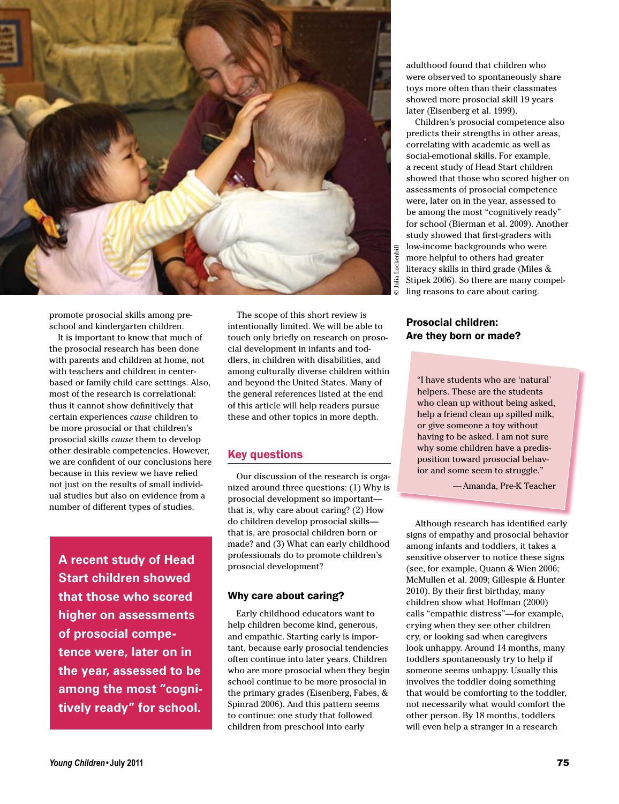

promote prosocial skills among preschool and kindergarten children.

It is important to know that much of the prosocial research has been done with parents and children at home, not with teachers and children in centerbased or family child care settings. Also, most of the research is correlational: thus it cannot show definitively that certain experiences *cause* children to be more prosocial or that children's prosocial skills *cause* them to develop other desirable competencies. However, we are confident of our conclusions here because in this review we have relied not just on the results of small individual studies but also on evidence from a number of different types of studies.

**A recent study of Head Start children showed that those who scored higher on assessments of prosocial competence were, later on in the year, assessed to be among the most "cognitively ready" for school.**

The scope of this short review is intentionally limited. We will be able to touch only briefly on research on prosocial development in infants and toddlers, in children with disabilities, and among culturally diverse children within and beyond the United States. Many of the general references listed at the end of this article will help readers pursue these and other topics in more depth.

#### Key questions

Our discussion of the research is organized around three questions: (1) Why is prosocial development so important that is, why care about caring? (2) How do children develop prosocial skills that is, are prosocial children born or made? and (3) What can early childhood professionals do to promote children's prosocial development?

#### Why care about caring?

Early childhood educators want to help children become kind, generous, and empathic. Starting early is important, because early prosocial tendencies often continue into later years. Children who are more prosocial when they begin school continue to be more prosocial in the primary grades (Eisenberg, Fabes, & Spinrad 2006). And this pattern seems to continue: one study that followed children from preschool into early

adulthood found that children who were observed to spontaneously share toys more often than their classmates showed more prosocial skill 19 years later (Eisenberg et al. 1999).

Children's prosocial competence also predicts their strengths in other areas, correlating with academic as well as social-emotional skills. For example, a recent study of Head Start children showed that those who scored higher on assessments of prosocial competence were, later on in the year, assessed to be among the most "cognitively ready" for school (Bierman et al. 2009). Another study showed that first-graders with low-income backgrounds who were more helpful to others had greater literacy skills in third grade (Miles & Stipek 2006). So there are many compelling reasons to care about caring.

#### Prosocial children: Are they born or made?

"I have students who are 'natural' helpers. These are the students who clean up without being asked, help a friend clean up spilled milk, or give someone a toy without having to be asked. I am not sure why some children have a predisposition toward prosocial behavior and some seem to struggle."

—Amanda, Pre-K Teacher

**Young Children**<br> **Young Children**<br> **Young Children**<br> **Young Children**<br> **Young Children**<br> **Young Children**<br> **Young Children**<br> **Young Children**<br> **Young Children**<br> **Young Children**<br> **Young Children**<br> **Expression of the state** Although research has identified early signs of empathy and prosocial behavior among infants and toddlers, it takes a sensitive observer to notice these signs (see, for example, Quann & Wien 2006; McMullen et al. 2009; Gillespie & Hunter 2010). By their first birthday, many children show what Hoffman (2000) calls "empathic distress"—for example, crying when they see other children cry, or looking sad when caregivers look unhappy. Around 14 months, many toddlers spontaneously try to help if someone seems unhappy. Usually this involves the toddler doing something that would be comforting to the toddler, not necessarily what would comfort the other person. By 18 months, toddlers will even help a stranger in a research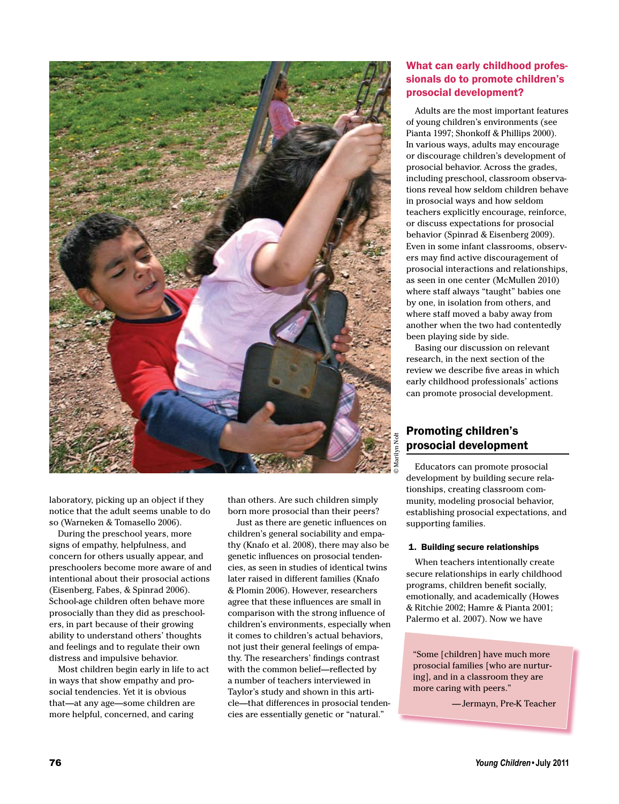

laboratory, picking up an object if they notice that the adult seems unable to do so (Warneken & Tomasello 2006).

During the preschool years, more signs of empathy, helpfulness, and concern for others usually appear, and preschoolers become more aware of and intentional about their prosocial actions (Eisenberg, Fabes, & Spinrad 2006). School-age children often behave more prosocially than they did as preschoolers, in part because of their growing ability to understand others' thoughts and feelings and to regulate their own distress and impulsive behavior.

Most children begin early in life to act in ways that show empathy and prosocial tendencies. Yet it is obvious that—at any age—some children are more helpful, concerned, and caring

than others. Are such children simply born more prosocial than their peers?

Just as there are genetic influences on children's general sociability and empathy (Knafo et al. 2008), there may also be genetic influences on prosocial tendencies, as seen in studies of identical twins later raised in different families (Knafo & Plomin 2006). However, researchers agree that these influences are small in comparison with the strong influence of children's environments, especially when it comes to children's actual behaviors, not just their general feelings of empathy. The researchers' findings contrast with the common belief—reflected by a number of teachers interviewed in Taylor's study and shown in this article—that differences in prosocial tendencies are essentially genetic or "natural."

## What can early childhood professionals do to promote children's prosocial development?

Adults are the most important features of young children's environments (see Pianta 1997; Shonkoff & Phillips 2000). In various ways, adults may encourage or discourage children's development of prosocial behavior. Across the grades, including preschool, classroom observations reveal how seldom children behave in prosocial ways and how seldom teachers explicitly encourage, reinforce, or discuss expectations for prosocial behavior (Spinrad & Eisenberg 2009). Even in some infant classrooms, observers may find active discouragement of prosocial interactions and relationships, as seen in one center (McMullen 2010) where staff always "taught" babies one by one, in isolation from others, and where staff moved a baby away from another when the two had contentedly been playing side by side.

Basing our discussion on relevant research, in the next section of the review we describe five areas in which early childhood professionals' actions can promote prosocial development.

## Promoting children's prosocial development

Educators can promote prosocial development by building secure relationships, creating classroom community, modeling prosocial behavior, establishing prosocial expectations, and supporting families.

#### 1. Building secure relationships

When teachers intentionally create secure relationships in early childhood programs, children benefit socially, emotionally, and academically (Howes & Ritchie 2002; Hamre & Pianta 2001; Palermo et al. 2007). Now we have

"Some [children] have much more prosocial families [who are nurturing], and in a classroom they are more caring with peers."

—Jermayn, Pre-K Teacher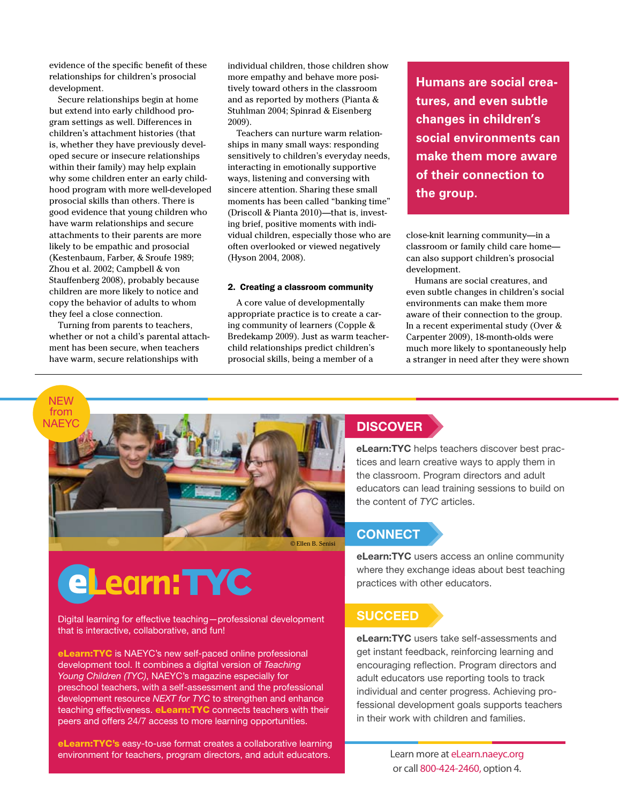evidence of the specific benefit of these relationships for children's prosocial development.

Secure relationships begin at home but extend into early childhood program settings as well. Differences in children's attachment histories (that is, whether they have previously developed secure or insecure relationships within their family) may help explain why some children enter an early childhood program with more well-developed prosocial skills than others. There is good evidence that young children who have warm relationships and secure attachments to their parents are more likely to be empathic and prosocial (Kestenbaum, Farber, & Sroufe 1989; Zhou et al. 2002; Campbell & von Stauffenberg 2008), probably because children are more likely to notice and copy the behavior of adults to whom they feel a close connection.

Turning from parents to teachers, whether or not a child's parental attachment has been secure, when teachers have warm, secure relationships with

individual children, those children show more empathy and behave more positively toward others in the classroom and as reported by mothers (Pianta & Stuhlman 2004; Spinrad & Eisenberg 2009).

Teachers can nurture warm relationships in many small ways: responding sensitively to children's everyday needs, interacting in emotionally supportive ways, listening and conversing with sincere attention. Sharing these small moments has been called "banking time" (Driscoll & Pianta 2010)—that is, investing brief, positive moments with individual children, especially those who are often overlooked or viewed negatively (Hyson 2004, 2008).

#### 2. Creating a classroom community

A core value of developmentally appropriate practice is to create a caring community of learners (Copple & Bredekamp 2009). Just as warm teacherchild relationships predict children's prosocial skills, being a member of a

**Humans are social creatures, and even subtle changes in children's social environments can make them more aware of their connection to the group.**

close-knit learning community—in a classroom or family child care home can also support children's prosocial development.

Humans are social creatures, and even subtle changes in children's social environments can make them more aware of their connection to the group. In a recent experimental study (Over & Carpenter 2009), 18-month-olds were much more likely to spontaneously help a stranger in need after they were shown



# eLearn: TYC

Digital learning for effective teaching—professional development that is interactive, collaborative, and fun!

eLearn: TYC is NAEYC's new self-paced online professional development tool. It combines a digital version of *Teaching Young Children (TYC)*, NAEYC's magazine especially for preschool teachers, with a self-assessment and the professional development resource *NEXT for TYC* to strengthen and enhance teaching effectiveness. eLearn: TYC connects teachers with their peers and offers 24/7 access to more learning opportunities.

eLearn:TYC's easy-to-use format creates a collaborative learning environment for teachers, program directors, and adult educators.

## **DISCOVER**

eLearn:TYC helps teachers discover best practices and learn creative ways to apply them in the classroom. Program directors and adult educators can lead training sessions to build on the content of *TYC* articles.

## **CONNECT**

eLearn:TYC users access an online community where they exchange ideas about best teaching practices with other educators.

## **SUCCEED**

eLearn:TYC users take self-assessments and get instant feedback, reinforcing learning and encouraging reflection. Program directors and adult educators use reporting tools to track individual and center progress. Achieving professional development goals supports teachers in their work with children and families.

*Young Children***• July 2011** 77 or call 800-424-2460, option 4. Learn more at eLearn.naeyc.org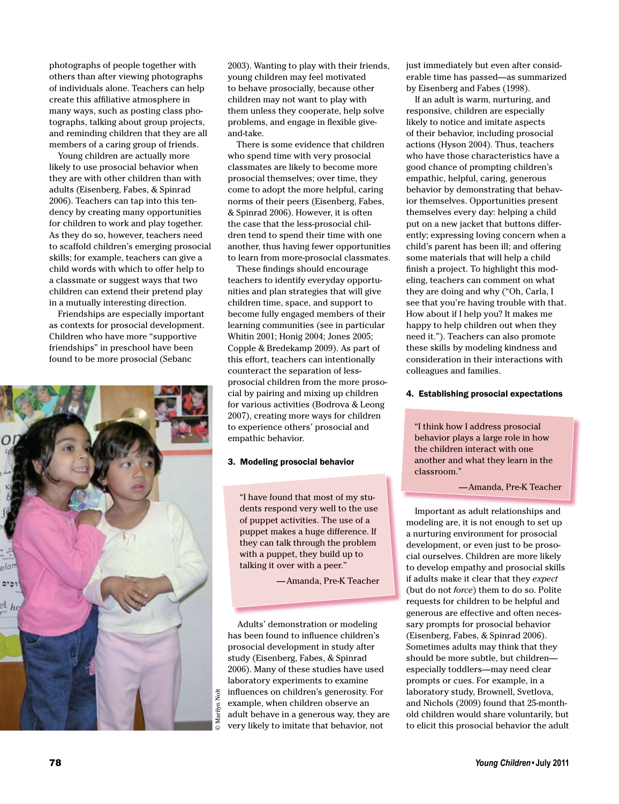photographs of people together with others than after viewing photographs of individuals alone. Teachers can help create this affiliative atmosphere in many ways, such as posting class photographs, talking about group projects, and reminding children that they are all members of a caring group of friends.

Young children are actually more likely to use prosocial behavior when they are with other children than with adults (Eisenberg, Fabes, & Spinrad 2006). Teachers can tap into this tendency by creating many opportunities for children to work and play together. As they do so, however, teachers need to scaffold children's emerging prosocial skills; for example, teachers can give a child words with which to offer help to a classmate or suggest ways that two children can extend their pretend play in a mutually interesting direction.

Friendships are especially important as contexts for prosocial development. Children who have more "supportive friendships" in preschool have been found to be more prosocial (Sebanc



2003). Wanting to play with their friends, young children may feel motivated to behave prosocially, because other children may not want to play with them unless they cooperate, help solve problems, and engage in flexible giveand-take.

There is some evidence that children who spend time with very prosocial classmates are likely to become more prosocial themselves; over time, they come to adopt the more helpful, caring norms of their peers (Eisenberg, Fabes, & Spinrad 2006). However, it is often the case that the less-prosocial children tend to spend their time with one another, thus having fewer opportunities to learn from more-prosocial classmates.

These findings should encourage teachers to identify everyday opportunities and plan strategies that will give children time, space, and support to become fully engaged members of their learning communities (see in particular Whitin 2001; Honig 2004; Jones 2005; Copple & Bredekamp 2009). As part of this effort, teachers can intentionally counteract the separation of lessprosocial children from the more prosocial by pairing and mixing up children for various activities (Bodrova & Leong 2007), creating more ways for children to experience others' prosocial and empathic behavior.

#### 3. Modeling prosocial behavior

"I have found that most of my students respond very well to the use of puppet activities. The use of a puppet makes a huge difference. If they can talk through the problem with a puppet, they build up to talking it over with a peer."

—Amanda, Pre-K Teacher

Adults' demonstration or modeling has been found to influence children's prosocial development in study after study (Eisenberg, Fabes, & Spinrad 2006). Many of these studies have used laboratory experiments to examine influences on children's generosity. For example, when children observe an adult behave in a generous way, they are very likely to imitate that behavior, not

just immediately but even after considerable time has passed—as summarized by Eisenberg and Fabes (1998).

If an adult is warm, nurturing, and responsive, children are especially likely to notice and imitate aspects of their behavior, including prosocial actions (Hyson 2004). Thus, teachers who have those characteristics have a good chance of prompting children's empathic, helpful, caring, generous behavior by demonstrating that behavior themselves. Opportunities present themselves every day: helping a child put on a new jacket that buttons differently; expressing loving concern when a child's parent has been ill; and offering some materials that will help a child finish a project. To highlight this modeling, teachers can comment on what they are doing and why ("Oh, Carla, I see that you're having trouble with that. How about if I help you? It makes me happy to help children out when they need it."). Teachers can also promote these skills by modeling kindness and consideration in their interactions with colleagues and families.

#### 4. Establishing prosocial expectations

"I think how I address prosocial behavior plays a large role in how the children interact with one another and what they learn in the classroom."

#### —Amanda, Pre-K Teacher

Important as adult relationships and modeling are, it is not enough to set up a nurturing environment for prosocial development, or even just to be prosocial ourselves. Children are more likely to develop empathy and prosocial skills if adults make it clear that they *expect*  (but do not *force*) them to do so. Polite requests for children to be helpful and generous are effective and often necessary prompts for prosocial behavior (Eisenberg, Fabes, & Spinrad 2006). Sometimes adults may think that they should be more subtle, but children especially toddlers—may need clear prompts or cues. For example, in a laboratory study, Brownell, Svetlova, and Nichols (2009) found that 25-monthold children would share voluntarily, but to elicit this prosocial behavior the adult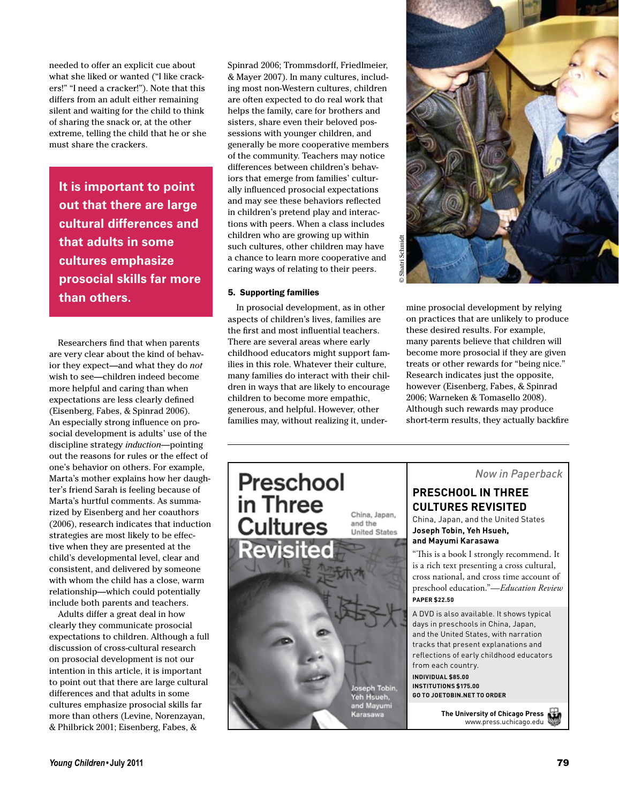needed to offer an explicit cue about what she liked or wanted ("I like crackers!" "I need a cracker!"). Note that this differs from an adult either remaining silent and waiting for the child to think of sharing the snack or, at the other extreme, telling the child that he or she must share the crackers.

**It is important to point out that there are large cultural differences and that adults in some cultures emphasize prosocial skills far more than others.**

Researchers find that when parents are very clear about the kind of behavior they expect—and what they do *not*  wish to see—children indeed become more helpful and caring than when expectations are less clearly defined (Eisenberg, Fabes, & Spinrad 2006). An especially strong influence on prosocial development is adults' use of the discipline strategy *induction—*pointing out the reasons for rules or the effect of one's behavior on others. For example, Marta's mother explains how her daughter's friend Sarah is feeling because of Marta's hurtful comments. As summarized by Eisenberg and her coauthors (2006), research indicates that induction strategies are most likely to be effective when they are presented at the child's developmental level, clear and consistent, and delivered by someone with whom the child has a close, warm relationship—which could potentially include both parents and teachers.

Adults differ a great deal in how clearly they communicate prosocial expectations to children. Although a full discussion of cross-cultural research on prosocial development is not our intention in this article, it is important to point out that there are large cultural differences and that adults in some cultures emphasize prosocial skills far more than others (Levine, Norenzayan, & Philbrick 2001; Eisenberg, Fabes, &

Spinrad 2006; Trommsdorff, Friedlmeier, & Mayer 2007). In many cultures, including most non-Western cultures, children are often expected to do real work that helps the family, care for brothers and sisters, share even their beloved possessions with younger children, and generally be more cooperative members of the community. Teachers may notice differences between children's behaviors that emerge from families' culturally influenced prosocial expectations and may see these behaviors reflected in children's pretend play and interactions with peers. When a class includes children who are growing up within such cultures, other children may have a chance to learn more cooperative and caring ways of relating to their peers.

#### 5. Supporting families

In prosocial development, as in other aspects of children's lives, families are the first and most influential teachers. There are several areas where early childhood educators might support families in this role. Whatever their culture, many families do interact with their children in ways that are likely to encourage children to become more empathic, generous, and helpful. However, other families may, without realizing it, under-



mine prosocial development by relying on practices that are unlikely to produce these desired results. For example, many parents believe that children will become more prosocial if they are given treats or other rewards for "being nice." Research indicates just the opposite, however (Eisenberg, Fabes, & Spinrad 2006; Warneken & Tomasello 2008). Although such rewards may produce short-term results, they actually backfire



*Now in Paperback*

## **Preschool in Three culTures revisiTed**

China, Japan, and the United States **Joseph Tobin, Yeh hsueh, and Mayumi Karasawa**

"This is a book I strongly recommend. It is a rich text presenting a cross cultural, cross national, and cross time account of preschool education."—*Education Review* **PaPer \$22.50**

A DVD is also available. It shows typical days in preschools in China, Japan, and the United States, with narration tracks that present explanations and reflections of early childhood educators from each country.

**insTiTuTions \$175.00 Go To JoeTobin.neT To order**

> **The university of chicago Press** www.press.uchicago.edu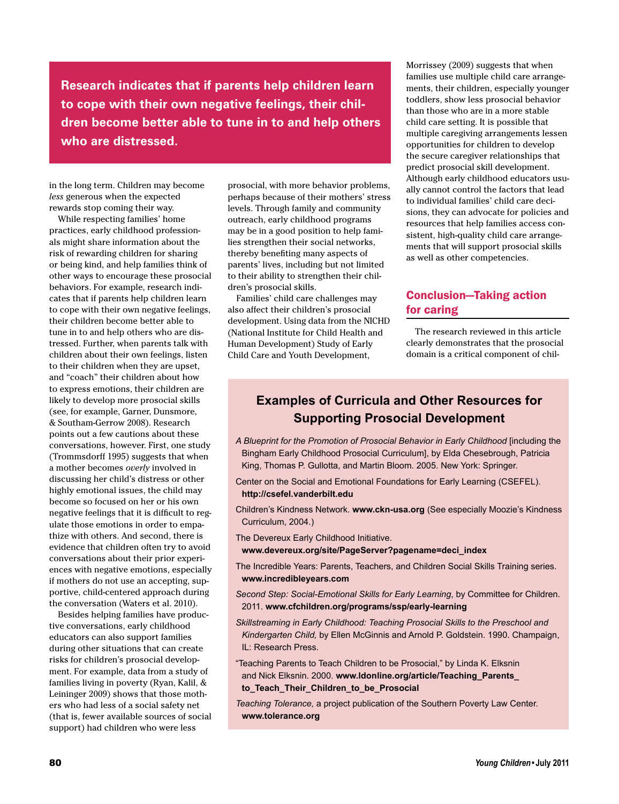**Research indicates that if parents help children learn to cope with their own negative feelings, their children become better able to tune in to and help others who are distressed.**

in the long term. Children may become *less* generous when the expected rewards stop coming their way.

While respecting families' home practices, early childhood professionals might share information about the risk of rewarding children for sharing or being kind, and help families think of other ways to encourage these prosocial behaviors. For example, research indicates that if parents help children learn to cope with their own negative feelings, their children become better able to tune in to and help others who are distressed. Further, when parents talk with children about their own feelings, listen to their children when they are upset, and "coach" their children about how to express emotions, their children are likely to develop more prosocial skills (see, for example, Garner, Dunsmore, & Southam-Gerrow 2008). Research points out a few cautions about these conversations, however. First, one study (Trommsdorff 1995) suggests that when a mother becomes *overly* involved in discussing her child's distress or other highly emotional issues, the child may become so focused on her or his own negative feelings that it is difficult to regulate those emotions in order to empathize with others. And second, there is evidence that children often try to avoid conversations about their prior experiences with negative emotions, especially if mothers do not use an accepting, supportive, child-centered approach during the conversation (Waters et al. 2010).

Besides helping families have productive conversations, early childhood educators can also support families during other situations that can create risks for children's prosocial development. For example, data from a study of families living in poverty (Ryan, Kalil, & Leininger 2009) shows that those mothers who had less of a social safety net (that is, fewer available sources of social support) had children who were less

prosocial, with more behavior problems, perhaps because of their mothers' stress levels. Through family and community outreach, early childhood programs may be in a good position to help families strengthen their social networks, thereby benefiting many aspects of parents' lives, including but not limited to their ability to strengthen their children's prosocial skills.

Families' child care challenges may also affect their children's prosocial development. Using data from the NICHD (National Institute for Child Health and Human Development) Study of Early Child Care and Youth Development,

Morrissey (2009) suggests that when families use multiple child care arrangements, their children, especially younger toddlers, show less prosocial behavior than those who are in a more stable child care setting. It is possible that multiple caregiving arrangements lessen opportunities for children to develop the secure caregiver relationships that predict prosocial skill development. Although early childhood educators usually cannot control the factors that lead to individual families' child care decisions, they can advocate for policies and resources that help families access consistent, high-quality child care arrangements that will support prosocial skills as well as other competencies.

## Conclusion—Taking action for caring

The research reviewed in this article clearly demonstrates that the prosocial domain is a critical component of chil-

## **Examples of Curricula and Other Resources for Supporting Prosocial Development**

- *A Blueprint for the Promotion of Prosocial Behavior in Early Childhood* [including the Bingham Early Childhood Prosocial Curriculum], by Elda Chesebrough, Patricia King, Thomas P. Gullotta, and Martin Bloom. 2005. New York: Springer.
- Center on the Social and Emotional Foundations for Early Learning (CSEFEL). **http://csefel.vanderbilt.edu**
- Children's Kindness Network. **www.ckn-usa.org** (See especially Moozie's Kindness Curriculum, 2004.)
- The Devereux Early Childhood Initiative.
- **www.devereux.org/site/PageServer?pagename=deci\_index**
- The Incredible Years: Parents, Teachers, and Children Social Skills Training series. **www.incredibleyears.com**
- *Second Step: Social-Emotional Skills for Early Learning*, by Committee for Children. 2011. **www.cfchildren.org/programs/ssp/early-learning**
- *Skillstreaming in Early Childhood: Teaching Prosocial Skills to the Preschool and Kindergarten Child,* by Ellen McGinnis and Arnold P. Goldstein. 1990. Champaign, IL: Research Press.
- "Teaching Parents to Teach Children to be Prosocial," by Linda K. Elksnin and Nick Elksnin. 2000. **www.ldonline.org/article/Teaching\_Parents\_ to\_Teach\_Their\_Children\_to\_be\_Prosocial**
- *Teaching Tolerance,* a project publication of the Southern Poverty Law Center. **www.tolerance.org**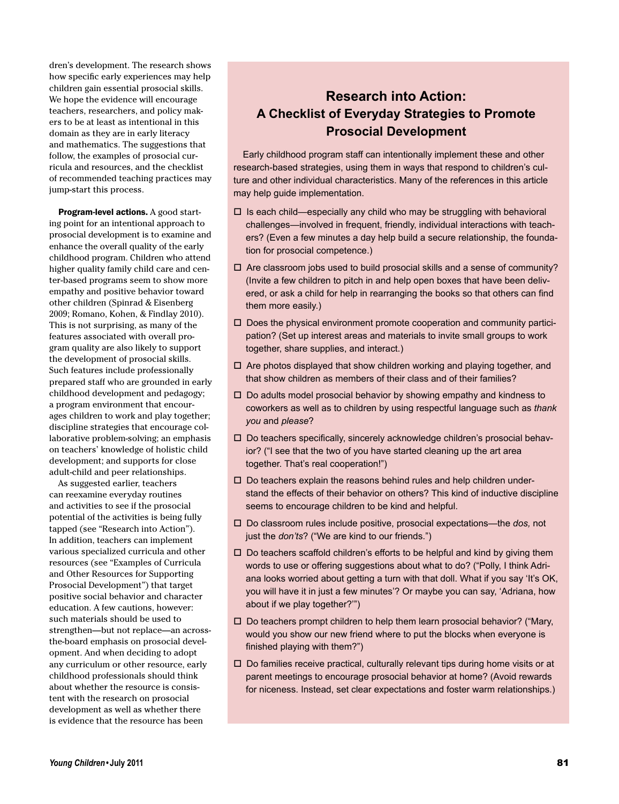dren's development. The research shows how specific early experiences may help children gain essential prosocial skills. We hope the evidence will encourage teachers, researchers, and policy makers to be at least as intentional in this domain as they are in early literacy and mathematics. The suggestions that follow, the examples of prosocial curricula and resources, and the checklist of recommended teaching practices may jump-start this process.

Program-level actions. A good starting point for an intentional approach to prosocial development is to examine and enhance the overall quality of the early childhood program. Children who attend higher quality family child care and center-based programs seem to show more empathy and positive behavior toward other children (Spinrad & Eisenberg 2009; Romano, Kohen, & Findlay 2010). This is not surprising, as many of the features associated with overall program quality are also likely to support the development of prosocial skills. Such features include professionally prepared staff who are grounded in early childhood development and pedagogy; a program environment that encourages children to work and play together; discipline strategies that encourage collaborative problem-solving; an emphasis on teachers' knowledge of holistic child development; and supports for close adult-child and peer relationships.

As suggested earlier, teachers can reexamine everyday routines and activities to see if the prosocial potential of the activities is being fully tapped (see "Research into Action"). In addition, teachers can implement various specialized curricula and other resources (see "Examples of Curricula and Other Resources for Supporting Prosocial Development") that target positive social behavior and character education. A few cautions, however: such materials should be used to strengthen—but not replace—an acrossthe-board emphasis on prosocial development. And when deciding to adopt any curriculum or other resource, early childhood professionals should think about whether the resource is consistent with the research on prosocial development as well as whether there is evidence that the resource has been

## **Research into Action: A Checklist of Everyday Strategies to Promote Prosocial Development**

Early childhood program staff can intentionally implement these and other research-based strategies, using them in ways that respond to children's culture and other individual characteristics. Many of the references in this article may help guide implementation.

- $\square$  Is each child—especially any child who may be struggling with behavioral challenges—involved in frequent, friendly, individual interactions with teachers? (Even a few minutes a day help build a secure relationship, the foundation for prosocial competence.)
- $\square$  Are classroom jobs used to build prosocial skills and a sense of community? (Invite a few children to pitch in and help open boxes that have been delivered, or ask a child for help in rearranging the books so that others can find them more easily.)
- $\Box$  Does the physical environment promote cooperation and community participation? (Set up interest areas and materials to invite small groups to work together, share supplies, and interact.)
- $\Box$  Are photos displayed that show children working and playing together, and that show children as members of their class and of their families?
- $\Box$  Do adults model prosocial behavior by showing empathy and kindness to coworkers as well as to children by using respectful language such as *thank you* and *please*?
- $\square$  Do teachers specifically, sincerely acknowledge children's prosocial behavior? ("I see that the two of you have started cleaning up the art area together. That's real cooperation!")
- $\square$  Do teachers explain the reasons behind rules and help children understand the effects of their behavior on others? This kind of inductive discipline seems to encourage children to be kind and helpful.
- □ Do classroom rules include positive, prosocial expectations—the *dos*, not just the *don'ts*? ("We are kind to our friends.")
- $\Box$  Do teachers scaffold children's efforts to be helpful and kind by giving them words to use or offering suggestions about what to do? ("Polly, I think Adriana looks worried about getting a turn with that doll. What if you say 'It's OK, you will have it in just a few minutes'? Or maybe you can say, 'Adriana, how about if we play together?'")
- $\Box$  Do teachers prompt children to help them learn prosocial behavior? ("Mary, would you show our new friend where to put the blocks when everyone is finished playing with them?")
- $\Box$  Do families receive practical, culturally relevant tips during home visits or at parent meetings to encourage prosocial behavior at home? (Avoid rewards for niceness. Instead, set clear expectations and foster warm relationships.)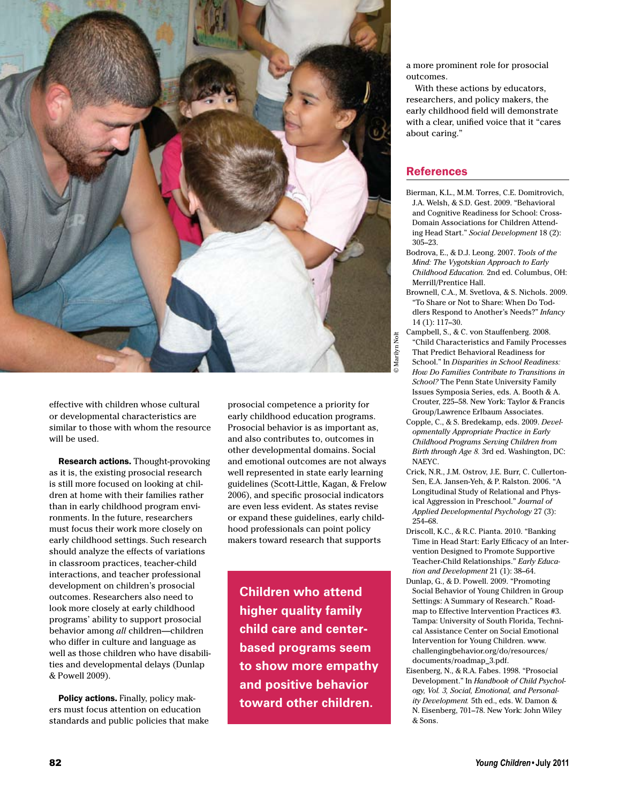

effective with children whose cultural or developmental characteristics are similar to those with whom the resource will be used.

Research actions. Thought-provoking as it is, the existing prosocial research is still more focused on looking at children at home with their families rather than in early childhood program environments. In the future, researchers must focus their work more closely on early childhood settings. Such research should analyze the effects of variations in classroom practices, teacher-child interactions, and teacher professional development on children's prosocial outcomes. Researchers also need to look more closely at early childhood programs' ability to support prosocial behavior among *all* children—children who differ in culture and language as well as those children who have disabilities and developmental delays (Dunlap & Powell 2009).

Policy actions. Finally, policy makers must focus attention on education standards and public policies that make prosocial competence a priority for early childhood education programs. Prosocial behavior is as important as, and also contributes to, outcomes in other developmental domains. Social and emotional outcomes are not always well represented in state early learning guidelines (Scott-Little, Kagan, & Frelow 2006), and specific prosocial indicators are even less evident. As states revise or expand these guidelines, early childhood professionals can point policy makers toward research that supports

**Children who attend higher quality family child care and centerbased programs seem to show more empathy and positive behavior toward other children.**

a more prominent role for prosocial outcomes.

With these actions by educators, researchers, and policy makers, the early childhood field will demonstrate with a clear, unified voice that it "cares about caring."

#### References

- Bierman, K.L., M.M. Torres, C.E. Domitrovich, J.A. Welsh, & S.D. Gest. 2009. "Behavioral and Cognitive Readiness for School: Cross-Domain Associations for Children Attending Head Start." *Social Development* 18 (2): 305–23.
- Bodrova, E., & D.J. Leong. 2007. *Tools of the Mind: The Vygotskian Approach to Early Childhood Education.* 2nd ed. Columbus, OH: Merrill/Prentice Hall.
- Brownell, C.A., M. Svetlova, & S. Nichols. 2009. "To Share or Not to Share: When Do Toddlers Respond to Another's Needs?" *Infancy*  14 (1): 117–30.
- Campbell, S., & C. von Stauffenberg. 2008. "Child Characteristics and Family Processes That Predict Behavioral Readiness for School." In *Disparities in School Readiness: How Do Families Contribute to Transitions in School?* The Penn State University Family Issues Symposia Series, eds. A. Booth & A. Crouter, 225–58. New York: Taylor & Francis Group/Lawrence Erlbaum Associates.
- Copple, C., & S. Bredekamp, eds. 2009. *Developmentally Appropriate Practice in Early Childhood Programs Serving Children from Birth through Age 8.* 3rd ed. Washington, DC: NAEYC.
- Crick, N.R., J.M. Ostrov, J.E. Burr, C. Cullerton-Sen, E.A. Jansen-Yeh, & P. Ralston. 2006. "A Longitudinal Study of Relational and Physical Aggression in Preschool." *Journal of Applied Developmental Psychology* 27 (3): 254–68.
- Driscoll, K.C., & R.C. Pianta. 2010. "Banking Time in Head Start: Early Efficacy of an Intervention Designed to Promote Supportive Teacher-Child Relationships." *Early Education and Development* 21 (1): 38–64.
- Dunlap, G., & D. Powell. 2009. "Promoting Social Behavior of Young Children in Group Settings: A Summary of Research." Roadmap to Effective Intervention Practices #3. Tampa: University of South Florida, Technical Assistance Center on Social Emotional Intervention for Young Children. www. challengingbehavior.org/do/resources/ documents/roadmap\_3.pdf.
- Eisenberg, N., & R.A. Fabes. 1998. "Prosocial Development." In *Handbook of Child Psychology, Vol. 3, Social, Emotional, and Personality Development.* 5th ed., eds. W. Damon & N. Eisenberg, 701–78. New York: John Wiley & Sons.